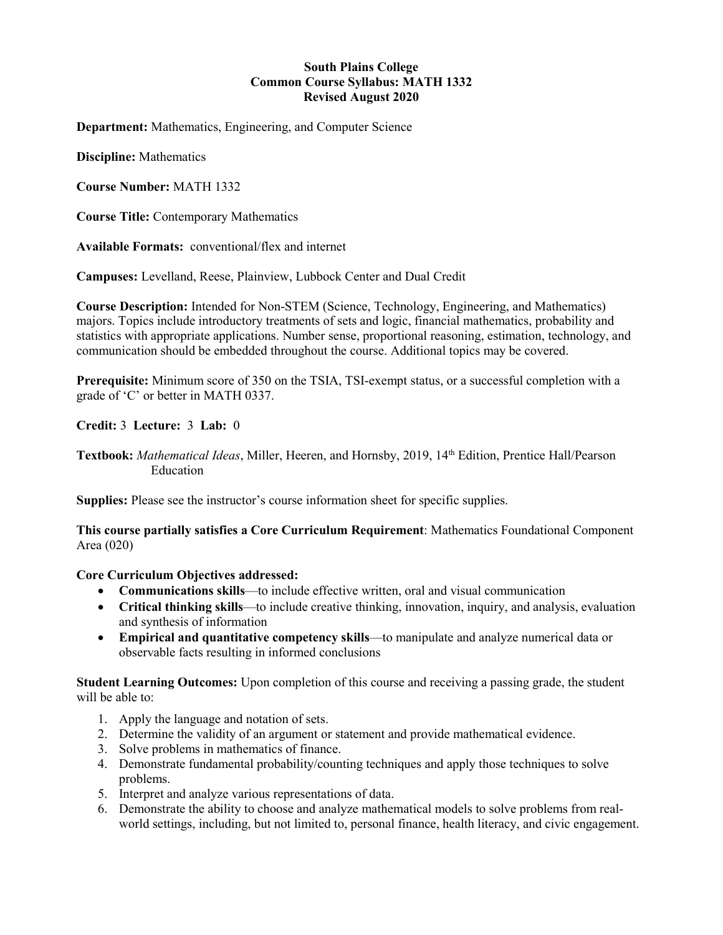## **South Plains College Common Course Syllabus: MATH 1332 Revised August 2020**

**Department:** Mathematics, Engineering, and Computer Science

**Discipline:** Mathematics

**Course Number:** MATH 1332

**Course Title:** Contemporary Mathematics

**Available Formats:** conventional/flex and internet

**Campuses:** Levelland, Reese, Plainview, Lubbock Center and Dual Credit

**Course Description:** Intended for Non-STEM (Science, Technology, Engineering, and Mathematics) majors. Topics include introductory treatments of sets and logic, financial mathematics, probability and statistics with appropriate applications. Number sense, proportional reasoning, estimation, technology, and communication should be embedded throughout the course. Additional topics may be covered.

**Prerequisite:** Minimum score of 350 on the TSIA, TSI-exempt status, or a successful completion with a grade of 'C' or better in MATH 0337.

**Credit:** 3 **Lecture:** 3 **Lab:** 0

**Textbook:** *Mathematical Ideas*, Miller, Heeren, and Hornsby, 2019, 14th Edition, Prentice Hall/Pearson Education

**Supplies:** Please see the instructor's course information sheet for specific supplies.

**This course partially satisfies a Core Curriculum Requirement**: Mathematics Foundational Component Area (020)

**Core Curriculum Objectives addressed:**

- **Communications skills**—to include effective written, oral and visual communication
- **Critical thinking skills**—to include creative thinking, innovation, inquiry, and analysis, evaluation and synthesis of information
- **Empirical and quantitative competency skills**—to manipulate and analyze numerical data or observable facts resulting in informed conclusions

**Student Learning Outcomes:** Upon completion of this course and receiving a passing grade, the student will be able to:

- 1. Apply the language and notation of sets.
- 2. Determine the validity of an argument or statement and provide mathematical evidence.
- 3. Solve problems in mathematics of finance.
- 4. Demonstrate fundamental probability/counting techniques and apply those techniques to solve problems.
- 5. Interpret and analyze various representations of data.
- 6. Demonstrate the ability to choose and analyze mathematical models to solve problems from realworld settings, including, but not limited to, personal finance, health literacy, and civic engagement.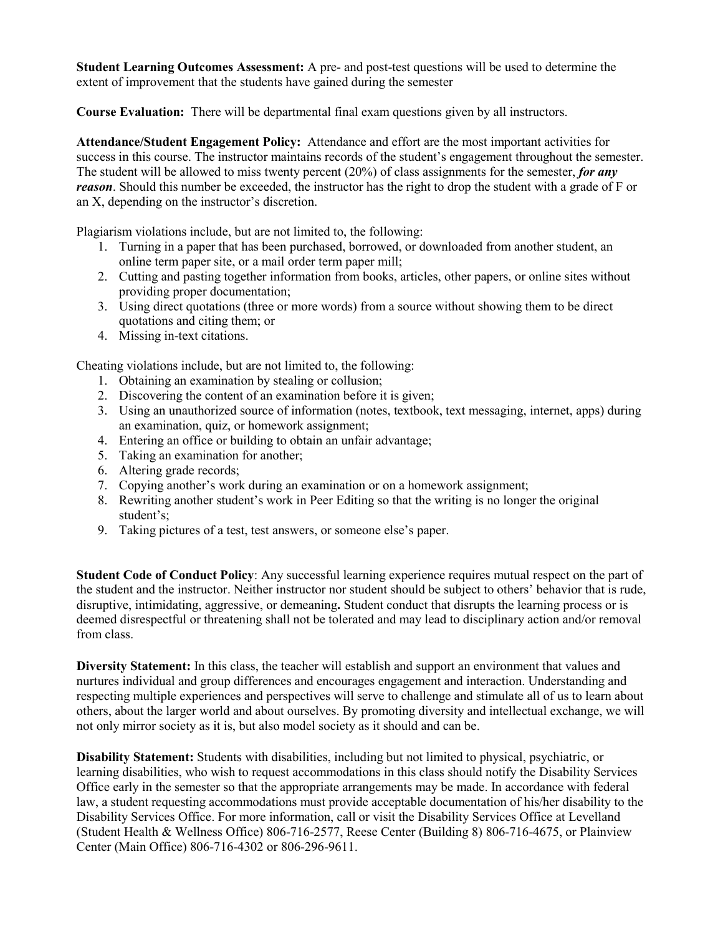**Student Learning Outcomes Assessment:** A pre- and post-test questions will be used to determine the extent of improvement that the students have gained during the semester

**Course Evaluation:** There will be departmental final exam questions given by all instructors.

**Attendance/Student Engagement Policy:** Attendance and effort are the most important activities for success in this course. The instructor maintains records of the student's engagement throughout the semester. The student will be allowed to miss twenty percent (20%) of class assignments for the semester, *for any reason*. Should this number be exceeded, the instructor has the right to drop the student with a grade of F or an X, depending on the instructor's discretion.

Plagiarism violations include, but are not limited to, the following:

- 1. Turning in a paper that has been purchased, borrowed, or downloaded from another student, an online term paper site, or a mail order term paper mill;
- 2. Cutting and pasting together information from books, articles, other papers, or online sites without providing proper documentation;
- 3. Using direct quotations (three or more words) from a source without showing them to be direct quotations and citing them; or
- 4. Missing in-text citations.

Cheating violations include, but are not limited to, the following:

- 1. Obtaining an examination by stealing or collusion;
- 2. Discovering the content of an examination before it is given;
- 3. Using an unauthorized source of information (notes, textbook, text messaging, internet, apps) during an examination, quiz, or homework assignment;
- 4. Entering an office or building to obtain an unfair advantage;
- 5. Taking an examination for another;
- 6. Altering grade records;
- 7. Copying another's work during an examination or on a homework assignment;
- 8. Rewriting another student's work in Peer Editing so that the writing is no longer the original student's;
- 9. Taking pictures of a test, test answers, or someone else's paper.

**Student Code of Conduct Policy**: Any successful learning experience requires mutual respect on the part of the student and the instructor. Neither instructor nor student should be subject to others' behavior that is rude, disruptive, intimidating, aggressive, or demeaning**.** Student conduct that disrupts the learning process or is deemed disrespectful or threatening shall not be tolerated and may lead to disciplinary action and/or removal from class.

**Diversity Statement:** In this class, the teacher will establish and support an environment that values and nurtures individual and group differences and encourages engagement and interaction. Understanding and respecting multiple experiences and perspectives will serve to challenge and stimulate all of us to learn about others, about the larger world and about ourselves. By promoting diversity and intellectual exchange, we will not only mirror society as it is, but also model society as it should and can be.

**Disability Statement:** Students with disabilities, including but not limited to physical, psychiatric, or learning disabilities, who wish to request accommodations in this class should notify the Disability Services Office early in the semester so that the appropriate arrangements may be made. In accordance with federal law, a student requesting accommodations must provide acceptable documentation of his/her disability to the Disability Services Office. For more information, call or visit the Disability Services Office at Levelland (Student Health & Wellness Office) 806-716-2577, Reese Center (Building 8) 806-716-4675, or Plainview Center (Main Office) 806-716-4302 or 806-296-9611.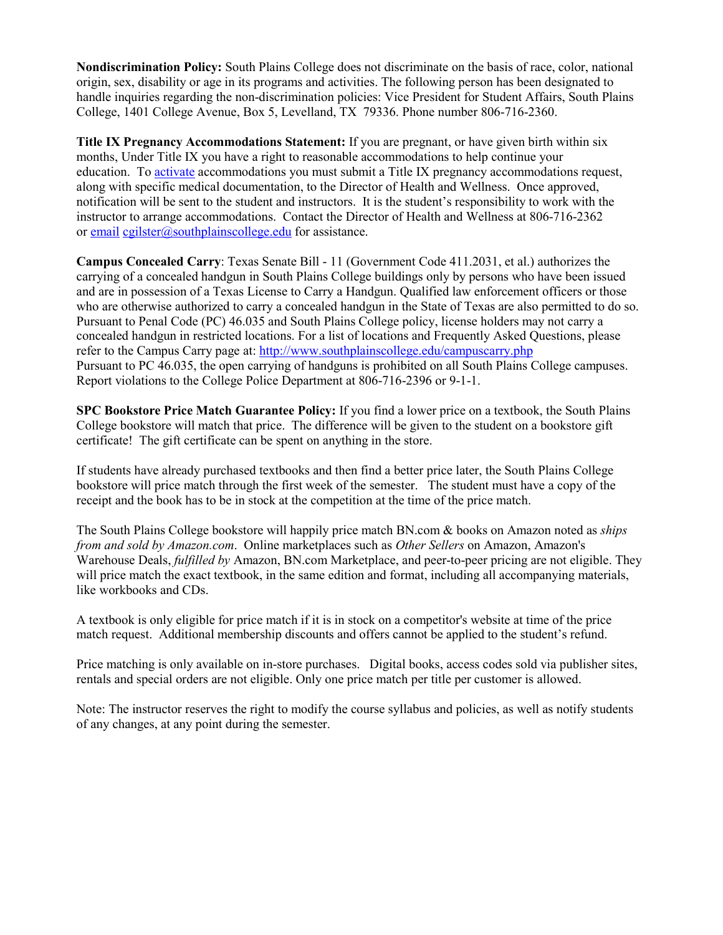**Nondiscrimination Policy:** South Plains College does not discriminate on the basis of race, color, national origin, sex, disability or age in its programs and activities. The following person has been designated to handle inquiries regarding the non-discrimination policies: Vice President for Student Affairs, South Plains College, 1401 College Avenue, Box 5, Levelland, TX 79336. Phone number 806-716-2360.

**Title IX Pregnancy Accommodations Statement:** If you are pregnant, or have given birth within six months, Under Title IX you have a right to reasonable accommodations to help continue your education. To [activate](http://www.southplainscollege.edu/employees/manualshandbooks/facultyhandbook/sec4.php) accommodations you must submit a Title IX pregnancy accommodations request, along with specific medical documentation, to the Director of Health and Wellness. Once approved, notification will be sent to the student and instructors. It is the student's responsibility to work with the instructor to arrange accommodations. Contact the Director of Health and Wellness at 806-716-2362 or [email](http://www.southplainscollege.edu/employees/manualshandbooks/facultyhandbook/sec4.php) [cgilster@southplainscollege.edu](mailto:cgilster@southplainscollege.edu) for assistance.

**Campus Concealed Carry**: Texas Senate Bill - 11 (Government Code 411.2031, et al.) authorizes the carrying of a concealed handgun in South Plains College buildings only by persons who have been issued and are in possession of a Texas License to Carry a Handgun. Qualified law enforcement officers or those who are otherwise authorized to carry a concealed handgun in the State of Texas are also permitted to do so. Pursuant to Penal Code (PC) 46.035 and South Plains College policy, license holders may not carry a concealed handgun in restricted locations. For a list of locations and Frequently Asked Questions, please refer to the Campus Carry page at: <http://www.southplainscollege.edu/campuscarry.php> Pursuant to PC 46.035, the open carrying of handguns is prohibited on all South Plains College campuses. Report violations to the College Police Department at 806-716-2396 or 9-1-1.

**SPC Bookstore Price Match Guarantee Policy:** If you find a lower price on a textbook, the South Plains College bookstore will match that price. The difference will be given to the student on a bookstore gift certificate! The gift certificate can be spent on anything in the store.

If students have already purchased textbooks and then find a better price later, the South Plains College bookstore will price match through the first week of the semester. The student must have a copy of the receipt and the book has to be in stock at the competition at the time of the price match.

The South Plains College bookstore will happily price match BN.com & books on Amazon noted as *ships from and sold by Amazon.com*. Online marketplaces such as *Other Sellers* on Amazon, Amazon's Warehouse Deals, *fulfilled by* Amazon, BN.com Marketplace, and peer-to-peer pricing are not eligible. They will price match the exact textbook, in the same edition and format, including all accompanying materials, like workbooks and CDs.

A textbook is only eligible for price match if it is in stock on a competitor's website at time of the price match request. Additional membership discounts and offers cannot be applied to the student's refund.

Price matching is only available on in-store purchases. Digital books, access codes sold via publisher sites, rentals and special orders are not eligible. Only one price match per title per customer is allowed.

Note: The instructor reserves the right to modify the course syllabus and policies, as well as notify students of any changes, at any point during the semester.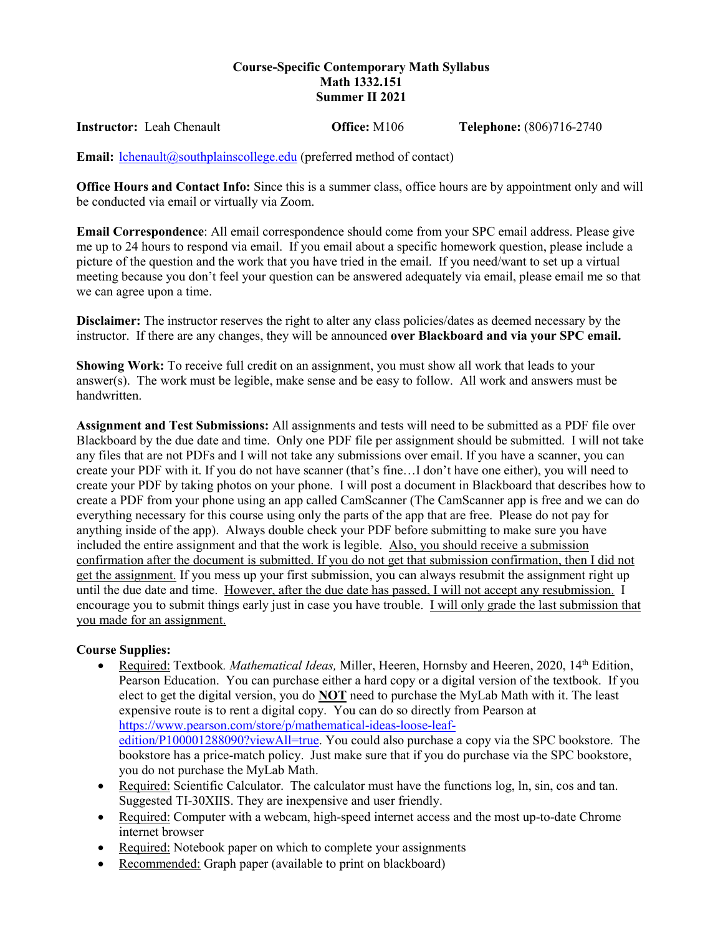## **Course-Specific Contemporary Math Syllabus Math 1332.151 Summer II 2021**

**Instructor:** Leah Chenault **Office:** M106 **Telephone:** (806)716-2740

**Email:** *[lchenault@southplainscollege.edu](mailto:lchenault@southplainscollege.edu)* (preferred method of contact)

**Office Hours and Contact Info:** Since this is a summer class, office hours are by appointment only and will be conducted via email or virtually via Zoom.

**Email Correspondence**: All email correspondence should come from your SPC email address. Please give me up to 24 hours to respond via email. If you email about a specific homework question, please include a picture of the question and the work that you have tried in the email. If you need/want to set up a virtual meeting because you don't feel your question can be answered adequately via email, please email me so that we can agree upon a time.

**Disclaimer:** The instructor reserves the right to alter any class policies/dates as deemed necessary by the instructor. If there are any changes, they will be announced **over Blackboard and via your SPC email.** 

**Showing Work:** To receive full credit on an assignment, you must show all work that leads to your answer(s). The work must be legible, make sense and be easy to follow. All work and answers must be handwritten.

**Assignment and Test Submissions:** All assignments and tests will need to be submitted as a PDF file over Blackboard by the due date and time. Only one PDF file per assignment should be submitted. I will not take any files that are not PDFs and I will not take any submissions over email. If you have a scanner, you can create your PDF with it. If you do not have scanner (that's fine…I don't have one either), you will need to create your PDF by taking photos on your phone. I will post a document in Blackboard that describes how to create a PDF from your phone using an app called CamScanner (The CamScanner app is free and we can do everything necessary for this course using only the parts of the app that are free. Please do not pay for anything inside of the app). Always double check your PDF before submitting to make sure you have included the entire assignment and that the work is legible. Also, you should receive a submission confirmation after the document is submitted. If you do not get that submission confirmation, then I did not get the assignment. If you mess up your first submission, you can always resubmit the assignment right up until the due date and time. However, after the due date has passed, I will not accept any resubmission. I encourage you to submit things early just in case you have trouble. I will only grade the last submission that you made for an assignment.

# **Course Supplies:**

- Required: Textbook. *Mathematical Ideas*, Miller, Heeren, Hornsby and Heeren, 2020, 14<sup>th</sup> Edition, Pearson Education. You can purchase either a hard copy or a digital version of the textbook. If you elect to get the digital version, you do **NOT** need to purchase the MyLab Math with it. The least expensive route is to rent a digital copy. You can do so directly from Pearson at [https://www.pearson.com/store/p/mathematical-ideas-loose-leaf](https://www.pearson.com/store/p/mathematical-ideas-loose-leaf-edition/P100001288090?viewAll=true)[edition/P100001288090?viewAll=true.](https://www.pearson.com/store/p/mathematical-ideas-loose-leaf-edition/P100001288090?viewAll=true) You could also purchase a copy via the SPC bookstore. The bookstore has a price-match policy. Just make sure that if you do purchase via the SPC bookstore, you do not purchase the MyLab Math.
- Required: Scientific Calculator. The calculator must have the functions log, ln, sin, cos and tan. Suggested TI-30XIIS. They are inexpensive and user friendly.
- Required: Computer with a webcam, high-speed internet access and the most up-to-date Chrome internet browser
- Required: Notebook paper on which to complete your assignments
- Recommended: Graph paper (available to print on blackboard)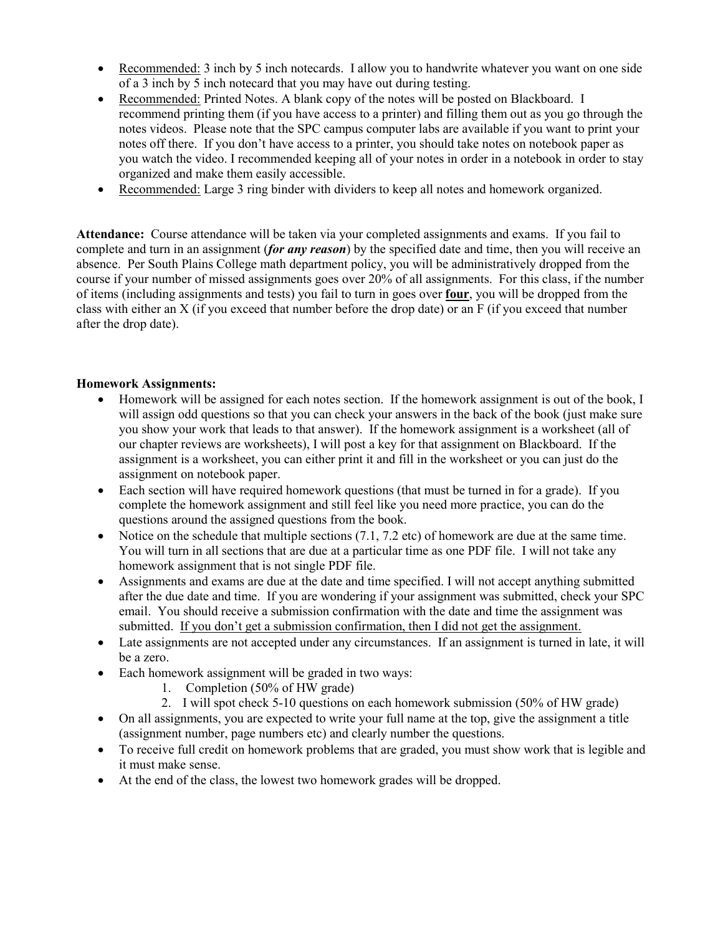- Recommended: 3 inch by 5 inch notecards. I allow you to handwrite whatever you want on one side of a 3 inch by 5 inch notecard that you may have out during testing.
- Recommended: Printed Notes. A blank copy of the notes will be posted on Blackboard. I recommend printing them (if you have access to a printer) and filling them out as you go through the notes videos. Please note that the SPC campus computer labs are available if you want to print your notes off there. If you don't have access to a printer, you should take notes on notebook paper as you watch the video. I recommended keeping all of your notes in order in a notebook in order to stay organized and make them easily accessible.
- Recommended: Large 3 ring binder with dividers to keep all notes and homework organized.

**Attendance:** Course attendance will be taken via your completed assignments and exams. If you fail to complete and turn in an assignment (*for any reason*) by the specified date and time, then you will receive an absence. Per South Plains College math department policy, you will be administratively dropped from the course if your number of missed assignments goes over 20% of all assignments. For this class, if the number of items (including assignments and tests) you fail to turn in goes over **four**, you will be dropped from the class with either an X (if you exceed that number before the drop date) or an F (if you exceed that number after the drop date).

# **Homework Assignments:**

- Homework will be assigned for each notes section. If the homework assignment is out of the book, I will assign odd questions so that you can check your answers in the back of the book (just make sure you show your work that leads to that answer). If the homework assignment is a worksheet (all of our chapter reviews are worksheets), I will post a key for that assignment on Blackboard. If the assignment is a worksheet, you can either print it and fill in the worksheet or you can just do the assignment on notebook paper.
- Each section will have required homework questions (that must be turned in for a grade). If you complete the homework assignment and still feel like you need more practice, you can do the questions around the assigned questions from the book.
- Notice on the schedule that multiple sections (7.1, 7.2 etc) of homework are due at the same time. You will turn in all sections that are due at a particular time as one PDF file. I will not take any homework assignment that is not single PDF file.
- Assignments and exams are due at the date and time specified. I will not accept anything submitted after the due date and time. If you are wondering if your assignment was submitted, check your SPC email. You should receive a submission confirmation with the date and time the assignment was submitted. If you don't get a submission confirmation, then I did not get the assignment.
- Late assignments are not accepted under any circumstances. If an assignment is turned in late, it will be a zero.
- Each homework assignment will be graded in two ways:
	- 1. Completion (50% of HW grade)
	- 2. I will spot check 5-10 questions on each homework submission (50% of HW grade)
- On all assignments, you are expected to write your full name at the top, give the assignment a title (assignment number, page numbers etc) and clearly number the questions.
- To receive full credit on homework problems that are graded, you must show work that is legible and it must make sense.
- At the end of the class, the lowest two homework grades will be dropped.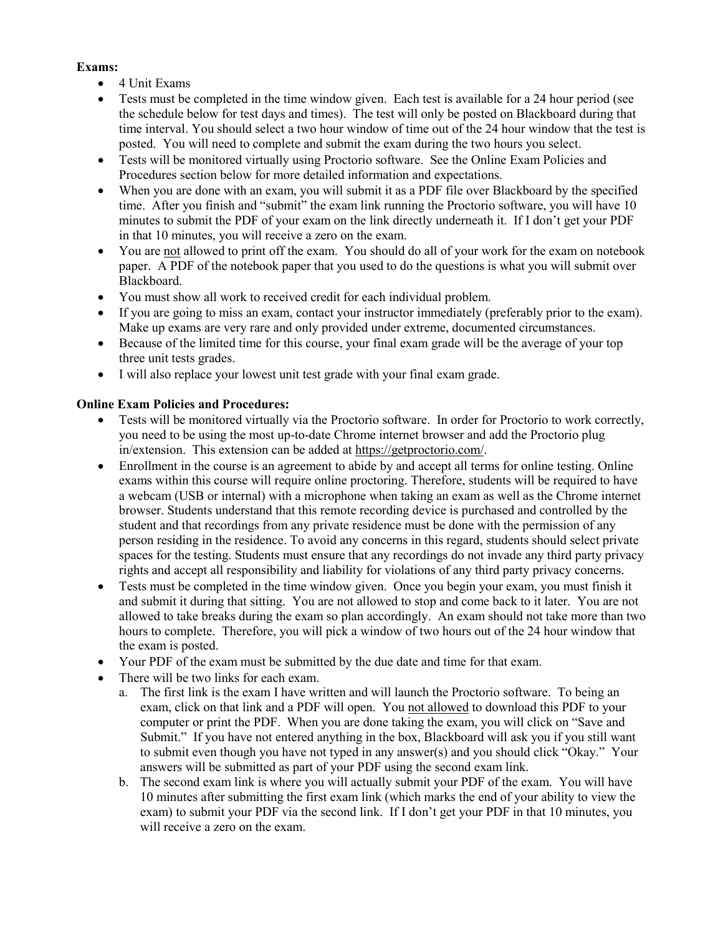# **Exams:**

- 4 Unit Exams
- Tests must be completed in the time window given. Each test is available for a 24 hour period (see the schedule below for test days and times). The test will only be posted on Blackboard during that time interval. You should select a two hour window of time out of the 24 hour window that the test is posted. You will need to complete and submit the exam during the two hours you select.
- Tests will be monitored virtually using Proctorio software. See the Online Exam Policies and Procedures section below for more detailed information and expectations.
- When you are done with an exam, you will submit it as a PDF file over Blackboard by the specified time. After you finish and "submit" the exam link running the Proctorio software, you will have 10 minutes to submit the PDF of your exam on the link directly underneath it. If I don't get your PDF in that 10 minutes, you will receive a zero on the exam.
- You are not allowed to print off the exam. You should do all of your work for the exam on notebook paper. A PDF of the notebook paper that you used to do the questions is what you will submit over Blackboard.
- You must show all work to received credit for each individual problem.
- If you are going to miss an exam, contact your instructor immediately (preferably prior to the exam). Make up exams are very rare and only provided under extreme, documented circumstances.
- Because of the limited time for this course, your final exam grade will be the average of your top three unit tests grades.
- I will also replace your lowest unit test grade with your final exam grade.

## **Online Exam Policies and Procedures:**

- Tests will be monitored virtually via the Proctorio software. In order for Proctorio to work correctly, you need to be using the most up-to-date Chrome internet browser and add the Proctorio plug in/extension. This extension can be added at [https://getproctorio.com/.](https://getproctorio.com/)
- Enrollment in the course is an agreement to abide by and accept all terms for online testing. Online exams within this course will require online proctoring. Therefore, students will be required to have a webcam (USB or internal) with a microphone when taking an exam as well as the Chrome internet browser. Students understand that this remote recording device is purchased and controlled by the student and that recordings from any private residence must be done with the permission of any person residing in the residence. To avoid any concerns in this regard, students should select private spaces for the testing. Students must ensure that any recordings do not invade any third party privacy rights and accept all responsibility and liability for violations of any third party privacy concerns.
- Tests must be completed in the time window given. Once you begin your exam, you must finish it and submit it during that sitting. You are not allowed to stop and come back to it later. You are not allowed to take breaks during the exam so plan accordingly. An exam should not take more than two hours to complete. Therefore, you will pick a window of two hours out of the 24 hour window that the exam is posted.
- Your PDF of the exam must be submitted by the due date and time for that exam.
- There will be two links for each exam.
	- a. The first link is the exam I have written and will launch the Proctorio software. To being an exam, click on that link and a PDF will open. You not allowed to download this PDF to your computer or print the PDF. When you are done taking the exam, you will click on "Save and Submit." If you have not entered anything in the box, Blackboard will ask you if you still want to submit even though you have not typed in any answer(s) and you should click "Okay." Your answers will be submitted as part of your PDF using the second exam link.
	- b. The second exam link is where you will actually submit your PDF of the exam. You will have 10 minutes after submitting the first exam link (which marks the end of your ability to view the exam) to submit your PDF via the second link. If I don't get your PDF in that 10 minutes, you will receive a zero on the exam.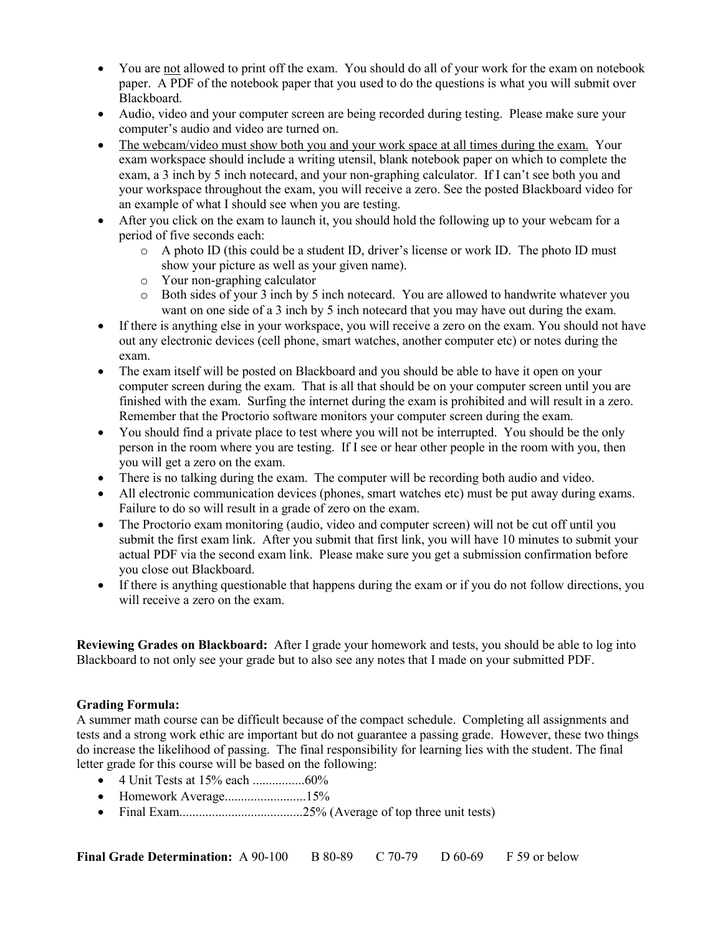- You are not allowed to print off the exam. You should do all of your work for the exam on notebook paper. A PDF of the notebook paper that you used to do the questions is what you will submit over Blackboard.
- Audio, video and your computer screen are being recorded during testing. Please make sure your computer's audio and video are turned on.
- The webcam/video must show both you and your work space at all times during the exam. Your exam workspace should include a writing utensil, blank notebook paper on which to complete the exam, a 3 inch by 5 inch notecard, and your non-graphing calculator. If I can't see both you and your workspace throughout the exam, you will receive a zero. See the posted Blackboard video for an example of what I should see when you are testing.
- After you click on the exam to launch it, you should hold the following up to your webcam for a period of five seconds each:
	- o A photo ID (this could be a student ID, driver's license or work ID. The photo ID must show your picture as well as your given name).
	- o Your non-graphing calculator
	- o Both sides of your 3 inch by 5 inch notecard. You are allowed to handwrite whatever you want on one side of a 3 inch by 5 inch notecard that you may have out during the exam.
- If there is anything else in your workspace, you will receive a zero on the exam. You should not have out any electronic devices (cell phone, smart watches, another computer etc) or notes during the exam.
- The exam itself will be posted on Blackboard and you should be able to have it open on your computer screen during the exam. That is all that should be on your computer screen until you are finished with the exam. Surfing the internet during the exam is prohibited and will result in a zero. Remember that the Proctorio software monitors your computer screen during the exam.
- You should find a private place to test where you will not be interrupted. You should be the only person in the room where you are testing. If I see or hear other people in the room with you, then you will get a zero on the exam.
- There is no talking during the exam. The computer will be recording both audio and video.
- All electronic communication devices (phones, smart watches etc) must be put away during exams. Failure to do so will result in a grade of zero on the exam.
- The Proctorio exam monitoring (audio, video and computer screen) will not be cut off until you submit the first exam link. After you submit that first link, you will have 10 minutes to submit your actual PDF via the second exam link. Please make sure you get a submission confirmation before you close out Blackboard.
- If there is anything questionable that happens during the exam or if you do not follow directions, you will receive a zero on the exam.

**Reviewing Grades on Blackboard:** After I grade your homework and tests, you should be able to log into Blackboard to not only see your grade but to also see any notes that I made on your submitted PDF.

# **Grading Formula:**

A summer math course can be difficult because of the compact schedule. Completing all assignments and tests and a strong work ethic are important but do not guarantee a passing grade. However, these two things do increase the likelihood of passing. The final responsibility for learning lies with the student. The final letter grade for this course will be based on the following:

- 4 Unit Tests at 15% each ................60%
- Homework Average.............................15%
- Final Exam......................................25% (Average of top three unit tests)

**Final Grade Determination:** A 90-100 B 80-89 C 70-79 D 60-69 F 59 or below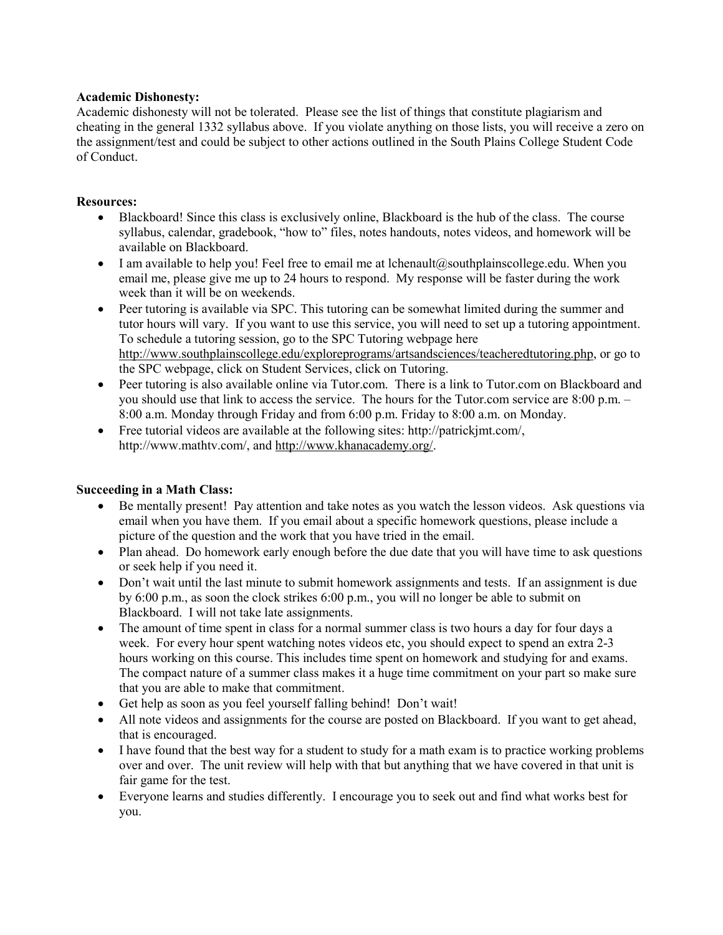## **Academic Dishonesty:**

Academic dishonesty will not be tolerated. Please see the list of things that constitute plagiarism and cheating in the general 1332 syllabus above. If you violate anything on those lists, you will receive a zero on the assignment/test and could be subject to other actions outlined in the South Plains College Student Code of Conduct.

#### **Resources:**

- Blackboard! Since this class is exclusively online, Blackboard is the hub of the class. The course syllabus, calendar, gradebook, "how to" files, notes handouts, notes videos, and homework will be available on Blackboard.
- I am available to help you! Feel free to email me at lchenault@southplainscollege.edu. When you email me, please give me up to 24 hours to respond. My response will be faster during the work week than it will be on weekends.
- Peer tutoring is available via SPC. This tutoring can be somewhat limited during the summer and tutor hours will vary. If you want to use this service, you will need to set up a tutoring appointment. To schedule a tutoring session, go to the SPC Tutoring webpage here [http://www.southplainscollege.edu/exploreprograms/artsandsciences/teacheredtutoring.php,](http://www.southplainscollege.edu/exploreprograms/artsandsciences/teacheredtutoring.php) or go to the SPC webpage, click on Student Services, click on Tutoring.
- Peer tutoring is also available online via Tutor.com. There is a link to Tutor.com on Blackboard and you should use that link to access the service. The hours for the Tutor.com service are 8:00 p.m. – 8:00 a.m. Monday through Friday and from 6:00 p.m. Friday to 8:00 a.m. on Monday.
- Free tutorial videos are available at the following sites: http://patrickimt.com/, http://www.mathtv.com/, and [http://www.khanacademy.org/.](http://www.khanacademy.org/)

#### **Succeeding in a Math Class:**

- Be mentally present! Pay attention and take notes as you watch the lesson videos. Ask questions via email when you have them. If you email about a specific homework questions, please include a picture of the question and the work that you have tried in the email.
- Plan ahead. Do homework early enough before the due date that you will have time to ask questions or seek help if you need it.
- Don't wait until the last minute to submit homework assignments and tests. If an assignment is due by 6:00 p.m., as soon the clock strikes 6:00 p.m., you will no longer be able to submit on Blackboard. I will not take late assignments.
- The amount of time spent in class for a normal summer class is two hours a day for four days a week. For every hour spent watching notes videos etc, you should expect to spend an extra 2-3 hours working on this course. This includes time spent on homework and studying for and exams. The compact nature of a summer class makes it a huge time commitment on your part so make sure that you are able to make that commitment.
- Get help as soon as you feel yourself falling behind! Don't wait!
- All note videos and assignments for the course are posted on Blackboard. If you want to get ahead, that is encouraged.
- I have found that the best way for a student to study for a math exam is to practice working problems over and over. The unit review will help with that but anything that we have covered in that unit is fair game for the test.
- Everyone learns and studies differently. I encourage you to seek out and find what works best for you.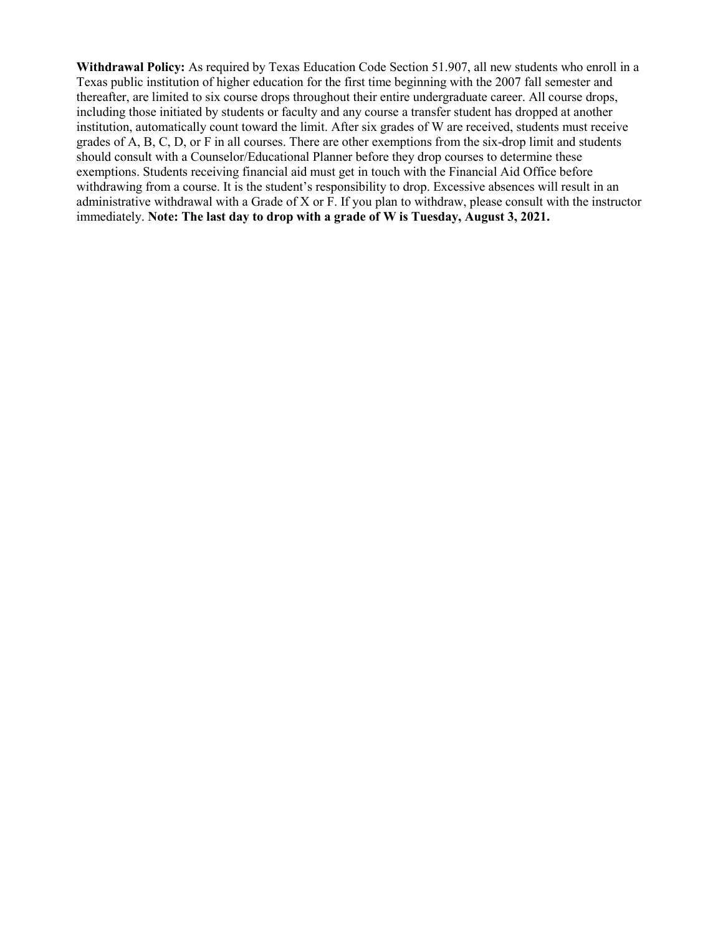**Withdrawal Policy:** As required by Texas Education Code Section 51.907, all new students who enroll in a Texas public institution of higher education for the first time beginning with the 2007 fall semester and thereafter, are limited to six course drops throughout their entire undergraduate career. All course drops, including those initiated by students or faculty and any course a transfer student has dropped at another institution, automatically count toward the limit. After six grades of W are received, students must receive grades of A, B, C, D, or F in all courses. There are other exemptions from the six-drop limit and students should consult with a Counselor/Educational Planner before they drop courses to determine these exemptions. Students receiving financial aid must get in touch with the Financial Aid Office before withdrawing from a course. It is the student's responsibility to drop. Excessive absences will result in an administrative withdrawal with a Grade of X or F. If you plan to withdraw, please consult with the instructor immediately. **Note: The last day to drop with a grade of W is Tuesday, August 3, 2021.**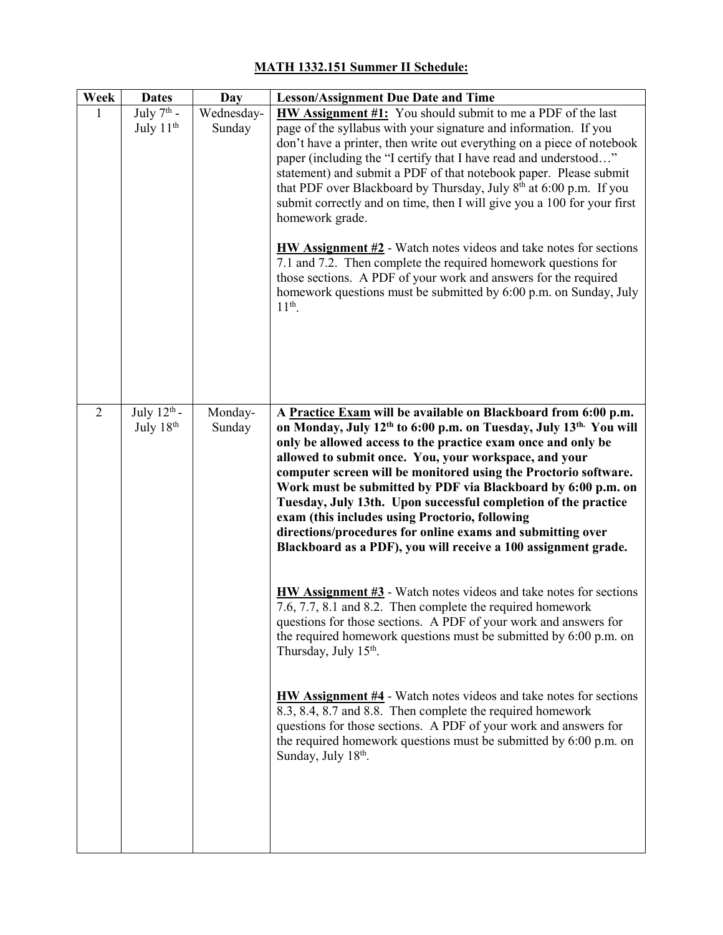# **Week Dates Day Lesson/Assignment Due Date and Time** 1 July  $7^{\text{th}}$  -July 11<sup>th</sup> Wednesday-Sunday **HW Assignment #1:** You should submit to me a PDF of the last page of the syllabus with your signature and information. If you don't have a printer, then write out everything on a piece of notebook paper (including the "I certify that I have read and understood…" statement) and submit a PDF of that notebook paper. Please submit that PDF over Blackboard by Thursday, July  $8<sup>th</sup>$  at 6:00 p.m. If you submit correctly and on time, then I will give you a 100 for your first homework grade. **HW Assignment #2** - Watch notes videos and take notes for sections 7.1 and 7.2. Then complete the required homework questions for those sections. A PDF of your work and answers for the required homework questions must be submitted by 6:00 p.m. on Sunday, July  $11^{th}$ . 2 July  $12^{\text{th}}$  -July  $18<sup>th</sup>$ Monday-Sunday **A Practice Exam will be available on Blackboard from 6:00 p.m. on Monday, July 12th to 6:00 p.m. on Tuesday, July 13th. You will only be allowed access to the practice exam once and only be allowed to submit once. You, your workspace, and your computer screen will be monitored using the Proctorio software. Work must be submitted by PDF via Blackboard by 6:00 p.m. on Tuesday, July 13th. Upon successful completion of the practice exam (this includes using Proctorio, following directions/procedures for online exams and submitting over Blackboard as a PDF), you will receive a 100 assignment grade. HW Assignment #3** - Watch notes videos and take notes for sections 7.6, 7.7, 8.1 and 8.2. Then complete the required homework questions for those sections. A PDF of your work and answers for the required homework questions must be submitted by 6:00 p.m. on Thursday, July  $15<sup>th</sup>$ . **HW Assignment #4** - Watch notes videos and take notes for sections 8.3, 8.4, 8.7 and 8.8. Then complete the required homework questions for those sections. A PDF of your work and answers for the required homework questions must be submitted by 6:00 p.m. on Sunday, July 18<sup>th</sup>.

# **MATH 1332.151 Summer II Schedule:**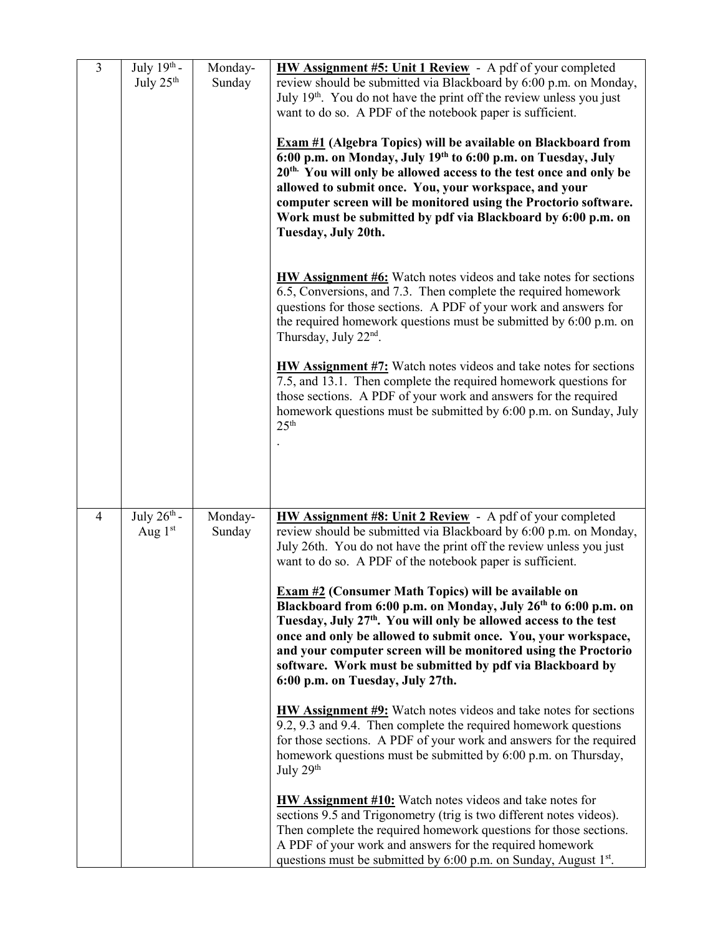| $\overline{3}$ | July $19^{th}$ -<br>July 25 <sup>th</sup> | Monday-<br>Sunday | <b>HW Assignment #5: Unit 1 Review</b> - A pdf of your completed<br>review should be submitted via Blackboard by 6:00 p.m. on Monday,<br>July 19 <sup>th</sup> . You do not have the print off the review unless you just<br>want to do so. A PDF of the notebook paper is sufficient.<br><b>Exam #1 (Algebra Topics) will be available on Blackboard from</b><br>6:00 p.m. on Monday, July 19th to 6:00 p.m. on Tuesday, July<br>20 <sup>th.</sup> You will only be allowed access to the test once and only be<br>allowed to submit once. You, your workspace, and your<br>computer screen will be monitored using the Proctorio software.<br>Work must be submitted by pdf via Blackboard by 6:00 p.m. on<br>Tuesday, July 20th.<br><b>HW Assignment #6:</b> Watch notes videos and take notes for sections<br>6.5, Conversions, and 7.3. Then complete the required homework<br>questions for those sections. A PDF of your work and answers for<br>the required homework questions must be submitted by 6:00 p.m. on<br>Thursday, July 22 <sup>nd</sup> .<br><b>HW Assignment #7:</b> Watch notes videos and take notes for sections<br>7.5, and 13.1. Then complete the required homework questions for<br>those sections. A PDF of your work and answers for the required<br>homework questions must be submitted by 6:00 p.m. on Sunday, July<br>25 <sup>th</sup>                                     |
|----------------|-------------------------------------------|-------------------|---------------------------------------------------------------------------------------------------------------------------------------------------------------------------------------------------------------------------------------------------------------------------------------------------------------------------------------------------------------------------------------------------------------------------------------------------------------------------------------------------------------------------------------------------------------------------------------------------------------------------------------------------------------------------------------------------------------------------------------------------------------------------------------------------------------------------------------------------------------------------------------------------------------------------------------------------------------------------------------------------------------------------------------------------------------------------------------------------------------------------------------------------------------------------------------------------------------------------------------------------------------------------------------------------------------------------------------------------------------------------------------------------------------|
| 4              | July $26th$ -<br>Aug $1st$                | Monday-<br>Sunday | HW Assignment #8: Unit 2 Review - A pdf of your completed<br>review should be submitted via Blackboard by 6:00 p.m. on Monday,<br>July 26th. You do not have the print off the review unless you just<br>want to do so. A PDF of the notebook paper is sufficient.<br><b>Exam #2 (Consumer Math Topics) will be available on</b><br>Blackboard from 6:00 p.m. on Monday, July 26 <sup>th</sup> to 6:00 p.m. on<br>Tuesday, July 27 <sup>th</sup> . You will only be allowed access to the test<br>once and only be allowed to submit once. You, your workspace,<br>and your computer screen will be monitored using the Proctorio<br>software. Work must be submitted by pdf via Blackboard by<br>6:00 p.m. on Tuesday, July 27th.<br><b>HW Assignment #9:</b> Watch notes videos and take notes for sections<br>9.2, 9.3 and 9.4. Then complete the required homework questions<br>for those sections. A PDF of your work and answers for the required<br>homework questions must be submitted by 6:00 p.m. on Thursday,<br>July 29 <sup>th</sup><br><b>HW Assignment #10:</b> Watch notes videos and take notes for<br>sections 9.5 and Trigonometry (trig is two different notes videos).<br>Then complete the required homework questions for those sections.<br>A PDF of your work and answers for the required homework<br>questions must be submitted by 6:00 p.m. on Sunday, August 1 <sup>st</sup> . |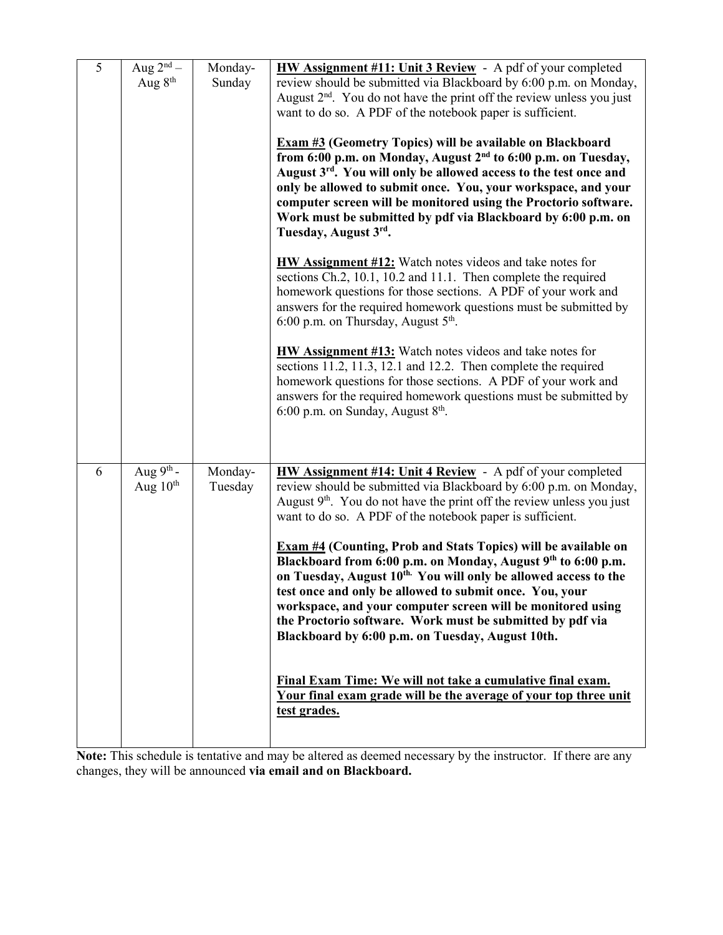| 5 | Aug $2^{\overline{\mathrm{nd}}}-$<br>Aug 8 <sup>th</sup> | Monday-<br>Sunday  | <b>HW Assignment #11: Unit 3 Review</b> - A pdf of your completed<br>review should be submitted via Blackboard by 6:00 p.m. on Monday,<br>August $2nd$ . You do not have the print off the review unless you just<br>want to do so. A PDF of the notebook paper is sufficient.<br><b>Exam #3 (Geometry Topics) will be available on Blackboard</b><br>from 6:00 p.m. on Monday, August 2 <sup>nd</sup> to 6:00 p.m. on Tuesday,<br>August 3 <sup>rd</sup> . You will only be allowed access to the test once and<br>only be allowed to submit once. You, your workspace, and your<br>computer screen will be monitored using the Proctorio software.<br>Work must be submitted by pdf via Blackboard by 6:00 p.m. on<br>Tuesday, August 3rd.<br><b>HW Assignment #12:</b> Watch notes videos and take notes for<br>sections Ch.2, 10.1, 10.2 and 11.1. Then complete the required<br>homework questions for those sections. A PDF of your work and<br>answers for the required homework questions must be submitted by<br>6:00 p.m. on Thursday, August $5th$ .<br>HW Assignment #13: Watch notes videos and take notes for<br>sections 11.2, 11.3, 12.1 and 12.2. Then complete the required |
|---|----------------------------------------------------------|--------------------|-----------------------------------------------------------------------------------------------------------------------------------------------------------------------------------------------------------------------------------------------------------------------------------------------------------------------------------------------------------------------------------------------------------------------------------------------------------------------------------------------------------------------------------------------------------------------------------------------------------------------------------------------------------------------------------------------------------------------------------------------------------------------------------------------------------------------------------------------------------------------------------------------------------------------------------------------------------------------------------------------------------------------------------------------------------------------------------------------------------------------------------------------------------------------------------------------|
|   |                                                          |                    | homework questions for those sections. A PDF of your work and<br>answers for the required homework questions must be submitted by<br>6:00 p.m. on Sunday, August $8th$ .                                                                                                                                                                                                                                                                                                                                                                                                                                                                                                                                                                                                                                                                                                                                                                                                                                                                                                                                                                                                                      |
| 6 | Aug $9^{th}$ -<br>Aug $10th$                             | Monday-<br>Tuesday | <b>HW Assignment #14: Unit 4 Review</b> - A pdf of your completed<br>review should be submitted via Blackboard by 6:00 p.m. on Monday,<br>August $9th$ . You do not have the print off the review unless you just<br>want to do so. A PDF of the notebook paper is sufficient.<br><b>Exam #4 (Counting, Prob and Stats Topics) will be available on</b><br>Blackboard from 6:00 p.m. on Monday, August 9th to 6:00 p.m.<br>on Tuesday, August 10 <sup>th.</sup> You will only be allowed access to the<br>test once and only be allowed to submit once. You, your<br>workspace, and your computer screen will be monitored using<br>the Proctorio software. Work must be submitted by pdf via<br>Blackboard by 6:00 p.m. on Tuesday, August 10th.<br>Final Exam Time: We will not take a cumulative final exam.<br>Your final exam grade will be the average of your top three unit<br>test grades.                                                                                                                                                                                                                                                                                           |

**Note:** This schedule is tentative and may be altered as deemed necessary by the instructor. If there are any changes, they will be announced **via email and on Blackboard.**